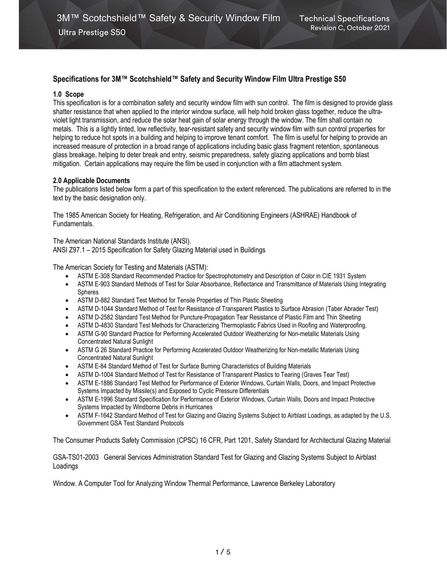# Specifications for 3M™ Scotchshield™ Safety and Security Window Film Ultra Prestige S50

#### 1.0 Scope

This specification is for a combination safety and security window film with sun control. The film is designed to provide glass shatter resistance that when applied to the interior window surface, will help hold broken glass together, reduce the ultraviolet light transmission, and reduce the solar heat gain of solar energy through the window. The film shall contain no metals. This is a lightly tinted, low reflectivity, tear-resistant safety and security window film with sun control properties for helping to reduce hot spots in a building and helping to improve tenant comfort. The film is useful for helping to provide an increased measure of protection in a broad range of applications including basic glass fragment retention, spontaneous glass breakage, helping to deter break and entry, seismic preparedness, safety glazing applications and bomb blast mitigation. Certain applications may require the film be used in conjunction with a film attachment system.

#### 2.0 Applicable Documents

The publications listed below form a part of this specification to the extent referenced. The publications are referred to in the text by the basic designation only.

The 1985 American Society for Heating, Refrigeration, and Air Conditioning Engineers (ASHRAE) Handbook of Fundamentals.

The American National Standards Institute (ANSI). ANSI Z97.1 – 2015 Specification for Safety Glazing Material used in Buildings

The American Society for Testing and Materials (ASTM):

- ASTM E-308 Standard Recommended Practice for Spectrophotometry and Description of Color in CIE 1931 System
- ASTM E-903 Standard Methods of Test for Solar Absorbance, Reflectance and Transmittance of Materials Using Integrating Spheres
- ASTM D-882 Standard Test Method for Tensile Properties of Thin Plastic Sheeting
- ASTM D-1044 Standard Method of Test for Resistance of Transparent Plastics to Surface Abrasion (Taber Abrader Test)
- ASTM D-2582 Standard Test Method for Puncture-Propagation Tear Resistance of Plastic Film and Thin Sheeting
- ASTM D-4830 Standard Test Methods for Characterizing Thermoplastic Fabrics Used in Roofing and Waterproofing.
- ASTM G-90 Standard Practice for Performing Accelerated Outdoor Weatherizing for Non-metallic Materials Using Concentrated Natural Sunlight
- ASTM G 26 Standard Practice for Performing Accelerated Outdoor Weatherizing for Non-metallic Materials Using Concentrated Natural Sunlight
- ASTM E-84 Standard Method of Test for Surface Burning Characteristics of Building Materials
- ASTM D-1004 Standard Method of Test for Resistance of Transparent Plastics to Tearing (Graves Tear Test)
- ASTM E-1886 Standard Test Method for Performance of Exterior Windows, Curtain Walls, Doors, and Impact Protective Systems Impacted by Missile(s) and Exposed to Cyclic Pressure Differentials
- ASTM E-1996 Standard Specification for Performance of Exterior Windows, Curtain Walls, Doors and Impact Protective Systems Impacted by Windborne Debris in Hurricanes
- ASTM F-1642 Standard Method of Test for Glazing and Glazing Systems Subject to Airblast Loadings, as adapted by the U.S. Government GSA Test Standard Protocols

The Consumer Products Safety Commission (CPSC) 16 CFR, Part 1201, Safety Standard for Architectural Glazing Material

GSA-TS01-2003 General Services Administration Standard Test for Glazing and Glazing Systems Subject to Airblast Loadings

Window. A Computer Tool for Analyzing Window Thermal Performance, Lawrence Berkeley Laboratory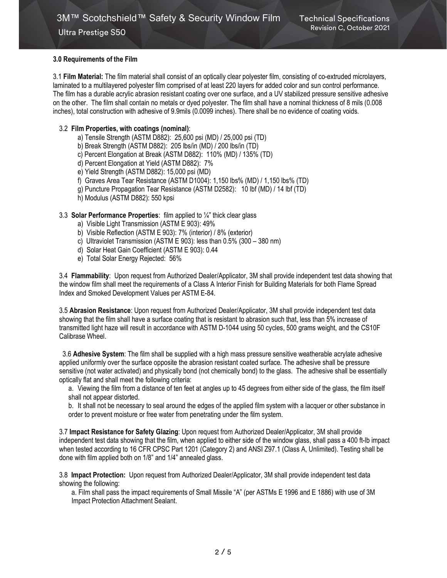Ultra Prestige S50

# 3.0 Requirements of the Film

3.1 Film Material: The film material shall consist of an optically clear polyester film, consisting of co-extruded microlayers, laminated to a multilayered polyester film comprised of at least 220 layers for added color and sun control performance. The film has a durable acrylic abrasion resistant coating over one surface, and a UV stabilized pressure sensitive adhesive on the other. The film shall contain no metals or dyed polyester. The film shall have a nominal thickness of 8 mils (0.008 inches), total construction with adhesive of 9.9mils (0.0099 inches). There shall be no evidence of coating voids.

# 3.2 Film Properties, with coatings (nominal):

- a) Tensile Strength (ASTM D882): 25,600 psi (MD) / 25,000 psi (TD)
- b) Break Strength (ASTM D882): 205 lbs/in (MD) / 200 lbs/in (TD)
- c) Percent Elongation at Break (ASTM D882): 110% (MD) / 135% (TD)
- d) Percent Elongation at Yield (ASTM D882): 7%
- e) Yield Strength (ASTM D882): 15,000 psi (MD)
- f) Graves Area Tear Resistance (ASTM D1004): 1,150 lbs% (MD) / 1,150 lbs% (TD)
- g) Puncture Propagation Tear Resistance (ASTM D2582): 10 lbf (MD) / 14 lbf (TD)
- h) Modulus (ASTM D882): 550 kpsi

## 3.3 Solar Performance Properties: film applied to  $\frac{1}{4}$ " thick clear glass

- a) Visible Light Transmission (ASTM E 903): 49%
- b) Visible Reflection (ASTM E 903): 7% (interior) / 8% (exterior)
- c) Ultraviolet Transmission (ASTM E 903): less than 0.5% (300 380 nm)
- d) Solar Heat Gain Coefficient (ASTM E 903): 0.44
- e) Total Solar Energy Rejected: 56%

3.4 Flammability: Upon request from Authorized Dealer/Applicator, 3M shall provide independent test data showing that the window film shall meet the requirements of a Class A Interior Finish for Building Materials for both Flame Spread Index and Smoked Development Values per ASTM E-84.

3.5 Abrasion Resistance: Upon request from Authorized Dealer/Applicator, 3M shall provide independent test data showing that the film shall have a surface coating that is resistant to abrasion such that, less than 5% increase of transmitted light haze will result in accordance with ASTM D-1044 using 50 cycles, 500 grams weight, and the CS10F Calibrase Wheel.

 3.6 Adhesive System: The film shall be supplied with a high mass pressure sensitive weatherable acrylate adhesive applied uniformly over the surface opposite the abrasion resistant coated surface. The adhesive shall be pressure sensitive (not water activated) and physically bond (not chemically bond) to the glass. The adhesive shall be essentially optically flat and shall meet the following criteria:

a. Viewing the film from a distance of ten feet at angles up to 45 degrees from either side of the glass, the film itself shall not appear distorted.

b. It shall not be necessary to seal around the edges of the applied film system with a lacquer or other substance in order to prevent moisture or free water from penetrating under the film system.

3.7 Impact Resistance for Safety Glazing: Upon request from Authorized Dealer/Applicator, 3M shall provide independent test data showing that the film, when applied to either side of the window glass, shall pass a 400 ft-lb impact when tested according to 16 CFR CPSC Part 1201 (Category 2) and ANSI Z97.1 (Class A, Unlimited). Testing shall be done with film applied both on 1/8" and 1/4" annealed glass.

3.8 Impact Protection: Upon request from Authorized Dealer/Applicator, 3M shall provide independent test data showing the following:

a. Film shall pass the impact requirements of Small Missile "A" (per ASTMs E 1996 and E 1886) with use of 3M Impact Protection Attachment Sealant.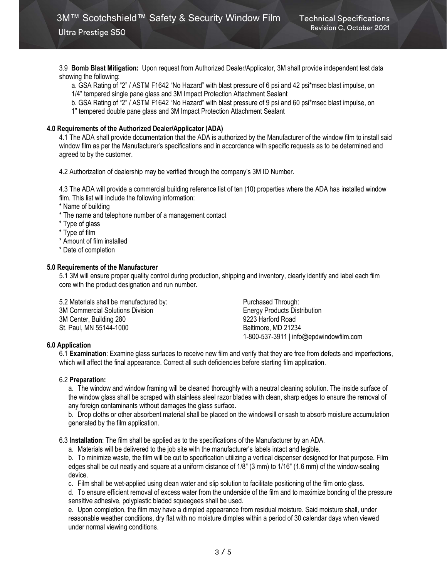Ultra Prestige S50

3.9 Bomb Blast Mitigation: Upon request from Authorized Dealer/Applicator, 3M shall provide independent test data showing the following:

a. GSA Rating of "2" / ASTM F1642 "No Hazard" with blast pressure of 6 psi and 42 psi\*msec blast impulse, on

1/4" tempered single pane glass and 3M Impact Protection Attachment Sealant

b. GSA Rating of "2" / ASTM F1642 "No Hazard" with blast pressure of 9 psi and 60 psi\*msec blast impulse, on

1" tempered double pane glass and 3M Impact Protection Attachment Sealant

# 4.0 Requirements of the Authorized Dealer/Applicator (ADA)

4.1 The ADA shall provide documentation that the ADA is authorized by the Manufacturer of the window film to install said window film as per the Manufacturer's specifications and in accordance with specific requests as to be determined and agreed to by the customer.

4.2 Authorization of dealership may be verified through the company's 3M ID Number.

4.3 The ADA will provide a commercial building reference list of ten (10) properties where the ADA has installed window film. This list will include the following information:

\* Name of building

\* The name and telephone number of a management contact

\* Type of glass

\* Type of film

\* Amount of film installed

\* Date of completion

## 5.0 Requirements of the Manufacturer

5.1 3M will ensure proper quality control during production, shipping and inventory, clearly identify and label each film core with the product designation and run number.

5.2 Materials shall be manufactured by: Purchased Through: 3M Commercial Solutions Division Energy Products Distribution 3M Center, Building 280 9223 Harford Road St. Paul, MN 55144-1000 Baltimore, MD 21234

1-800-537-3911 | info@epdwindowfilm.com

# 6.0 Application

6.1 Examination: Examine glass surfaces to receive new film and verify that they are free from defects and imperfections, which will affect the final appearance. Correct all such deficiencies before starting film application.

### 6.2 Preparation:

a. The window and window framing will be cleaned thoroughly with a neutral cleaning solution. The inside surface of the window glass shall be scraped with stainless steel razor blades with clean, sharp edges to ensure the removal of any foreign contaminants without damages the glass surface.

b. Drop cloths or other absorbent material shall be placed on the windowsill or sash to absorb moisture accumulation generated by the film application.

6.3 Installation: The film shall be applied as to the specifications of the Manufacturer by an ADA.

a. Materials will be delivered to the job site with the manufacturer's labels intact and legible.

b. To minimize waste, the film will be cut to specification utilizing a vertical dispenser designed for that purpose. Film edges shall be cut neatly and square at a uniform distance of 1/8" (3 mm) to 1/16" (1.6 mm) of the window-sealing device.

c. Film shall be wet-applied using clean water and slip solution to facilitate positioning of the film onto glass.

d. To ensure efficient removal of excess water from the underside of the film and to maximize bonding of the pressure sensitive adhesive, polyplastic bladed squeegees shall be used.

e. Upon completion, the film may have a dimpled appearance from residual moisture. Said moisture shall, under reasonable weather conditions, dry flat with no moisture dimples within a period of 30 calendar days when viewed under normal viewing conditions.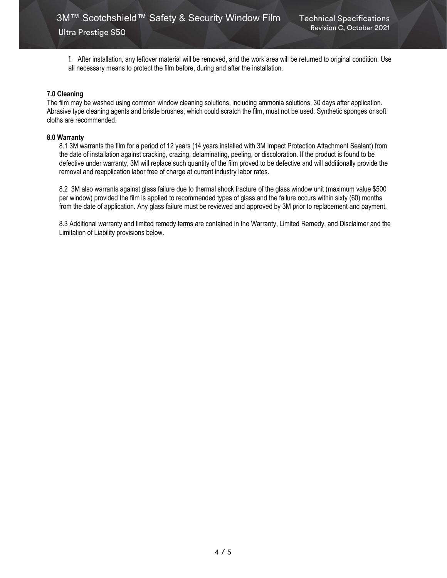Ultra Prestige S50

f. After installation, any leftover material will be removed, and the work area will be returned to original condition. Use all necessary means to protect the film before, during and after the installation.

#### 7.0 Cleaning

The film may be washed using common window cleaning solutions, including ammonia solutions, 30 days after application. Abrasive type cleaning agents and bristle brushes, which could scratch the film, must not be used. Synthetic sponges or soft cloths are recommended.

#### 8.0 Warranty

8.1 3M warrants the film for a period of 12 years (14 years installed with 3M Impact Protection Attachment Sealant) from the date of installation against cracking, crazing, delaminating, peeling, or discoloration. If the product is found to be defective under warranty, 3M will replace such quantity of the film proved to be defective and will additionally provide the removal and reapplication labor free of charge at current industry labor rates.

8.2 3M also warrants against glass failure due to thermal shock fracture of the glass window unit (maximum value \$500 per window) provided the film is applied to recommended types of glass and the failure occurs within sixty (60) months from the date of application. Any glass failure must be reviewed and approved by 3M prior to replacement and payment.

8.3 Additional warranty and limited remedy terms are contained in the Warranty, Limited Remedy, and Disclaimer and the Limitation of Liability provisions below.